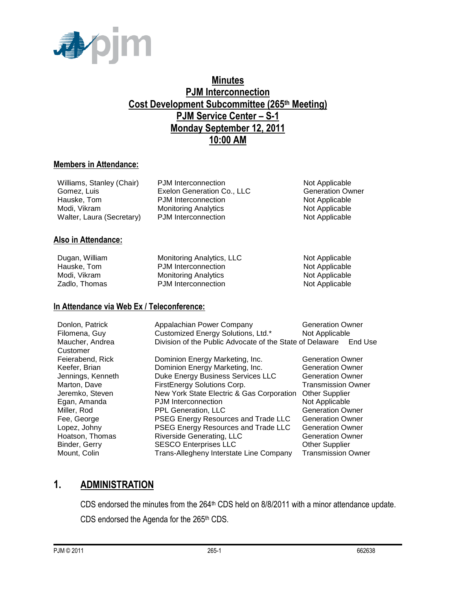

# **Minutes PJM Interconnection Cost Development Subcommittee (265th Meeting) PJM Service Center – S-1 Monday September 12, 2011 10:00 AM**

## **Members in Attendance:**

| Williams, Stanley (Chair) | PJM Interconnection         | Not Applicable          |
|---------------------------|-----------------------------|-------------------------|
| Gomez, Luis               | Exelon Generation Co., LLC  | <b>Generation Owner</b> |
| Hauske, Tom               | <b>PJM</b> Interconnection  | Not Applicable          |
| Modi. Vikram              | <b>Monitoring Analytics</b> | Not Applicable          |
| Walter, Laura (Secretary) | PJM Interconnection         | Not Applicable          |
|                           |                             |                         |
|                           |                             |                         |

### **Also in Attendance:**

| Dugan, William | Monitoring Analytics, LLC   | Not Applicable |
|----------------|-----------------------------|----------------|
| Hauske, Tom    | <b>PJM</b> Interconnection  | Not Applicable |
| Modi. Vikram   | <b>Monitoring Analytics</b> | Not Applicable |
| Zadlo, Thomas  | <b>PJM</b> Interconnection  | Not Applicable |

### **In Attendance via Web Ex / Teleconference:**

| Donlon, Patrick<br>Filomena, Guy | Appalachian Power Company<br>Customized Energy Solutions, Ltd.* | <b>Generation Owner</b><br>Not Applicable |
|----------------------------------|-----------------------------------------------------------------|-------------------------------------------|
| Maucher, Andrea<br>Customer      | Division of the Public Advocate of the State of Delaware        | End Use                                   |
| Feierabend, Rick                 | Dominion Energy Marketing, Inc.                                 | <b>Generation Owner</b>                   |
| Keefer, Brian                    | Dominion Energy Marketing, Inc.                                 | <b>Generation Owner</b>                   |
| Jennings, Kenneth                | Duke Energy Business Services LLC                               | <b>Generation Owner</b>                   |
| Marton, Dave                     | FirstEnergy Solutions Corp.                                     | <b>Transmission Owner</b>                 |
| Jeremko, Steven                  | New York State Electric & Gas Corporation                       | <b>Other Supplier</b>                     |
| Egan, Amanda                     | PJM Interconnection                                             | Not Applicable                            |
| Miller, Rod                      | PPL Generation, LLC                                             | <b>Generation Owner</b>                   |
| Fee, George                      | PSEG Energy Resources and Trade LLC                             | <b>Generation Owner</b>                   |
| Lopez, Johny                     | PSEG Energy Resources and Trade LLC                             | <b>Generation Owner</b>                   |
| Hoatson, Thomas                  | <b>Riverside Generating, LLC</b>                                | <b>Generation Owner</b>                   |
| Binder, Gerry                    | <b>SESCO Enterprises LLC</b>                                    | <b>Other Supplier</b>                     |
| Mount, Colin                     | Trans-Allegheny Interstate Line Company                         | <b>Transmission Owner</b>                 |

# **1. ADMINISTRATION**

CDS endorsed the minutes from the 264<sup>th</sup> CDS held on 8/8/2011 with a minor attendance update. CDS endorsed the Agenda for the 265<sup>th</sup> CDS.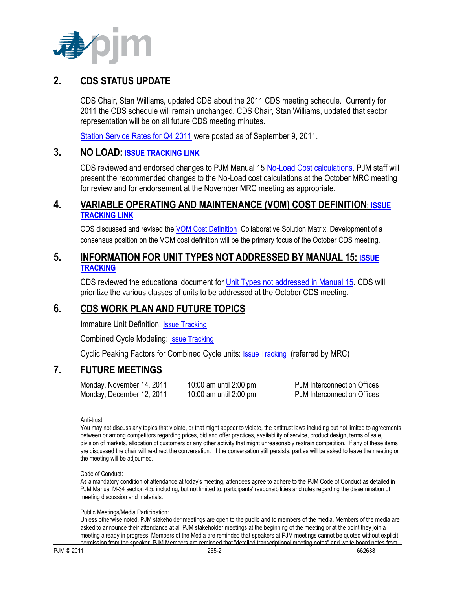

# **2. CDS STATUS UPDATE**

CDS Chair, Stan Williams, updated CDS about the 2011 CDS meeting schedule. Currently for 2011 the CDS schedule will remain unchanged. CDS Chair, Stan Williams, updated that sector representation will be on all future CDS meeting minutes.

[Station Service Rates for Q4 2011](http://www.pjm.com/committees-and-groups/subcommittees/cds/starvrts.aspx) were posted as of September 9, 2011.

## **3. NO LOAD: [ISSUE TRACKING LINK](http://www.pjm.com/committees-and-groups/issue-tracking/issue-tracking-details.aspx?Issue=%7bB4390F49-FB83-4790-B1E7-89EF1844E073%7d)**

CDS reviewed and endorsed changes to PJM Manual 15 [No-Load Cost calculations.](http://www.pjm.com/committees-and-groups/issue-tracking/issue-tracking-details.aspx?Issue=%7bB4390F49-FB83-4790-B1E7-89EF1844E073%7d) PJM staff will present the recommended changes to the No-Load cost calculations at the October MRC meeting for review and for endorsement at the November MRC meeting as appropriate.

## **4. VARIABLE OPERATING AND MAINTENANCE (VOM) COST DEFINITION: [ISSUE](http://www.pjm.com/committees-and-groups/issue-tracking/issue-tracking-details.aspx?Issue=%7b189C7210-9A23-4782-A5B5-634A6887CFE1%7d)  [TRACKING LINK](http://www.pjm.com/committees-and-groups/issue-tracking/issue-tracking-details.aspx?Issue=%7b189C7210-9A23-4782-A5B5-634A6887CFE1%7d)**

CDS discussed and revised the [VOM Cost Definition](http://www.pjm.com/committees-and-groups/issue-tracking/issue-tracking-details.aspx?Issue=%7b189C7210-9A23-4782-A5B5-634A6887CFE1%7d) Collaborative Solution Matrix. Development of a consensus position on the VOM cost definition will be the primary focus of the October CDS meeting.

## **5. INFORMATION FOR UNIT TYPES NOT ADDRESSED BY MANUAL 15: [ISSUE](http://pjm.com/committees-and-groups/issue-tracking/issue-tracking-details.aspx?Issue=%7b3159C1F6-5498-412A-84F2-D4EA3F5834C6%7d)  [TRACKING](http://pjm.com/committees-and-groups/issue-tracking/issue-tracking-details.aspx?Issue=%7b3159C1F6-5498-412A-84F2-D4EA3F5834C6%7d)**

CDS reviewed the educational document for [Unit Types not addressed in Manual 15.](http://www.pjm.com/committees-and-groups/issue-tracking/issue-tracking-details.aspx?Issue=%7b3159C1F6-5498-412A-84F2-D4EA3F5834C6%7d) CDS will prioritize the various classes of units to be addressed at the October CDS meeting.

# **6. CDS WORK PLAN AND FUTURE TOPICS**

Immature Unit Definition: [Issue Tracking](http://pjm.com/committees-and-groups/issue-tracking/issue-tracking-details.aspx?Issue=%7b510DC5A0-8F2D-46B1-8FA4-3D61DC10BA45%7d)

Combined Cycle Modeling: **[Issue Tracking](http://pjm.com/committees-and-groups/issue-tracking/issue-tracking-details.aspx?Issue=%7bE5A783B1-FF7A-4A7F-B6CE-3CD2765836F9%7d)** 

Cyclic Peaking Factors for Combined Cycle units: [Issue Tracking](http://www.pjm.com/committees-and-groups/issue-tracking/issue-tracking-details.aspx?Issue=%7b271B9B61-2DB7-4D21-8C58-20324835B7D2%7d) (referred by MRC)

# **7. FUTURE MEETINGS**

Monday, November 14, 2011 10:00 am until 2:00 pm PJM Interconnection Offices Monday, December 12, 2011 10:00 am until 2:00 pm PJM Interconnection Offices

Anti-trust:

You may not discuss any topics that violate, or that might appear to violate, the antitrust laws including but not limited to agreements between or among competitors regarding prices, bid and offer practices, availability of service, product design, terms of sale, division of markets, allocation of customers or any other activity that might unreasonably restrain competition. If any of these items are discussed the chair will re-direct the conversation. If the conversation still persists, parties will be asked to leave the meeting or the meeting will be adjourned.

Code of Conduct:

As a mandatory condition of attendance at today's meeting, attendees agree to adhere to the PJM Code of Conduct as detailed in PJM Manual M-34 section 4.5, including, but not limited to, participants' responsibilities and rules regarding the dissemination of meeting discussion and materials.

#### Public Meetings/Media Participation:

Unless otherwise noted, PJM stakeholder meetings are open to the public and to members of the media. Members of the media are asked to announce their attendance at all PJM stakeholder meetings at the beginning of the meeting or at the point they join a meeting already in progress. Members of the Media are reminded that speakers at PJM meetings cannot be quoted without explicit<br>nermission from the speaker. PJM Members are reminded that "detailed transcriptional meeting po permission from the speaker. Paperminded transcriptional meeting notes" and v